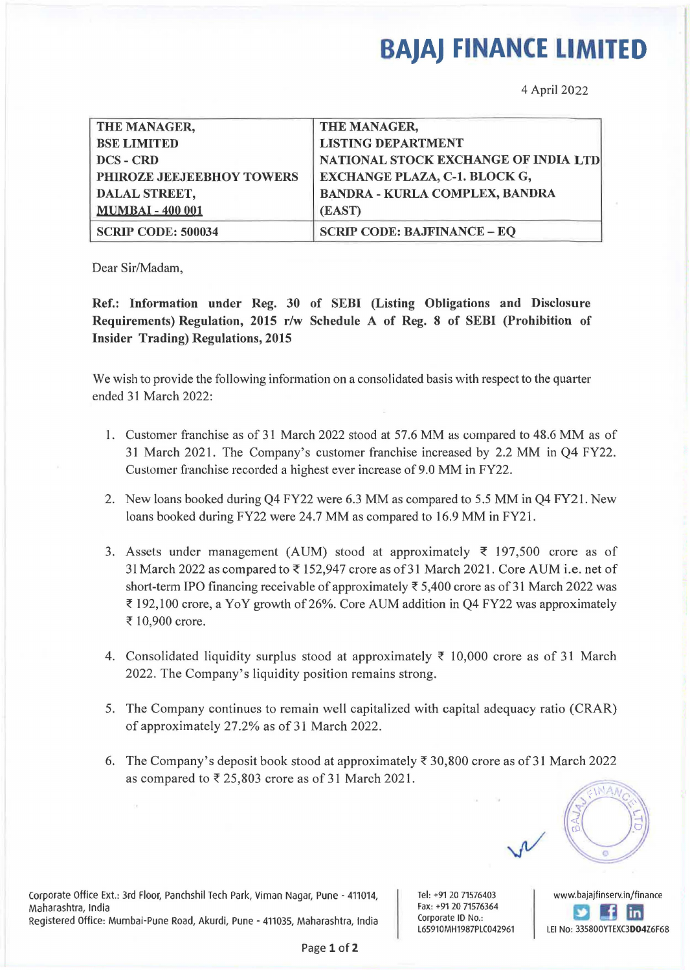## **BAJAJ FINANCE LIMITED**

4 April 2022

| THE MANAGER,              | THE MANAGER,                          |
|---------------------------|---------------------------------------|
|                           |                                       |
| <b>BSE LIMITED</b>        | <b>LISTING DEPARTMENT</b>             |
| DCS - CRD                 | NATIONAL STOCK EXCHANGE OF INDIA LTD  |
| PHIROZE JEEJEEBHOY TOWERS | <b>EXCHANGE PLAZA, C-1. BLOCK G,</b>  |
| <b>DALAL STREET,</b>      | <b>BANDRA - KURLA COMPLEX, BANDRA</b> |
| <b>MUMBAI - 400 001</b>   | (EAST)                                |
| <b>SCRIP CODE: 500034</b> | <b>SCRIP CODE: BAJFINANCE - EQ</b>    |

Dear Sir/Madam,

Ref.: Information under Reg. 30 of SEBI (Listing Obligations and Disclosure Requirements) Regulation, 2015 r/w Schedule A of Reg. 8 of SEBI (Prohibition of Insider Trading) Regulations, 2015

We wish to provide the following information on a consolidated basis with respect to the quarter ended 31 March 2022:

- 1. Customer franchise as of 31 March 2022 stood at 57.6 MM as compared to 48.6 MM as of 31 March 2021. The Company's customer franchise increased by 2.2 MM in Q4 FY22. Customer franchise recorded a highest ever increase of 9.0 MM in FY22.
- 2. New loans booked during Q4 FY22 were 6.3 MM as compared to 5.5 MM in Q4 FY21. New loans booked during FY22 were 24.7 MM as compared to 16.9 MM in FY21.
- 3. Assets under management (AUM) stood at approximately  $\bar{\tau}$  197,500 crore as of 31 March 2022 as compared to ₹ 152,947 crore as of 31 March 2021. Core AUM i.e. net of short-term IPO financing receivable of approximately  $\overline{z}$  5,400 crore as of 31 March 2022 was  $\bar{\xi}$  192, 100 crore, a YoY growth of 26%. Core AUM addition in Q4 FY22 was approximately ₹ 10,900 crore.
- 4. Consolidated liquidity surplus stood at approximately  $\bar{\tau}$  10,000 crore as of 31 March 2022. The Company's liquidity position remains strong.
- 5. The Company continues to remain well capitalized with capital adequacy ratio (CRAR) of approximately 27.2% as of 31 March 2022.
- 6. The Company's deposit book stood at approximately  $\bar{\tau}$  30,800 crore as of 31 March 2022 as compared to  $\overline{\xi}$  25,803 crore as of 31 March 2021.

Corporate Office Ext.: 3rd Floor, Panchshil Tech Park, Viman Nagar, Pune - 411014, Maharashtra, India Registered Office: Mumbai-Pune Road, Akurdi, Pune - 411035, Maharashtra, India Tel: +91 20 71576403 Fax: +91 20 71576364 Corporate ID No.: L65910MH1987PLC042961